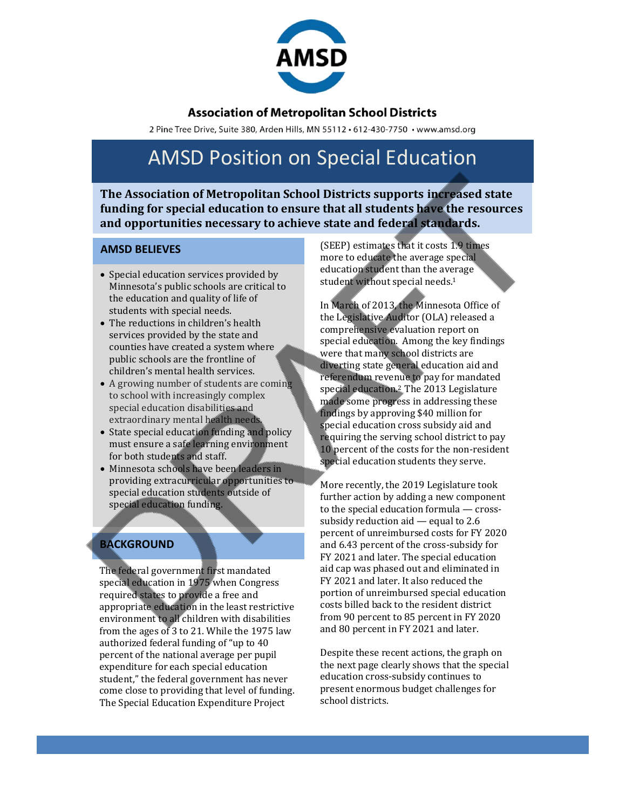

#### **Association of Metropolitan School Districts**

2 Pine Tree Drive, Suite 380, Arden Hills, MN 55112 · 612-430-7750 · www.amsd.org

# AMSD Position on Special Education

**The Association of Metropolitan School Districts supports increased state funding for special education to ensure that all students have the resources and opportunities necessary to achieve state and federal standards.**

#### **AMSD BELIEVES**

- Special education services provided by Minnesota's public schools are critical to the education and quality of life of students with special needs.
- The reductions in children's health services provided by the state and counties have created a system where public schools are the frontline of children's mental health services.
- A growing number of students are coming to school with increasingly complex special education disabilities and extraordinary mental health needs.
- State special education funding and policy must ensure a safe learning environment for both students and staff.
- Minnesota schools have been leaders in providing extracurricular opportunities to special education students outside of special education funding.

### **BACKGROUND**

The federal government first mandated special education in 1975 when Congress required states to provide a free and appropriate education in the least restrictive environment to all children with disabilities from the ages of 3 to 21. While the 1975 law authorized federal funding of "up to 40 percent of the national average per pupil expenditure for each special education student," the federal government has never come close to providing that level of funding. The Special Education Expenditure Project

(SEEP) estimates that it costs 1.9 times more to educate the average special education student than the average student without special needs.<sup>1</sup>

In March of 2013, the Minnesota Office of the Legislative Auditor (OLA) released a comprehensive evaluation report on special education. Among the key findings were that many school districts are diverting state general education aid and referendum revenue to pay for mandated special education.<sup>2</sup> The 2013 Legislature made some progress in addressing these findings by approving \$40 million for special education cross subsidy aid and requiring the serving school district to pay 10 percent of the costs for the non-resident special education students they serve.

More recently, the 2019 Legislature took further action by adding a new component to the special education formula — crosssubsidy reduction aid — equal to 2.6 percent of unreimbursed costs for FY 2020 and 6.43 percent of the cross-subsidy for FY 2021 and later. The special education aid cap was phased out and eliminated in FY 2021 and later. It also reduced the portion of unreimbursed special education costs billed back to the resident district from 90 percent to 85 percent in FY 2020 and 80 percent in FY 2021 and later.

Despite these recent actions, the graph on the next page clearly shows that the special education cross-subsidy continues to present enormous budget challenges for school districts.